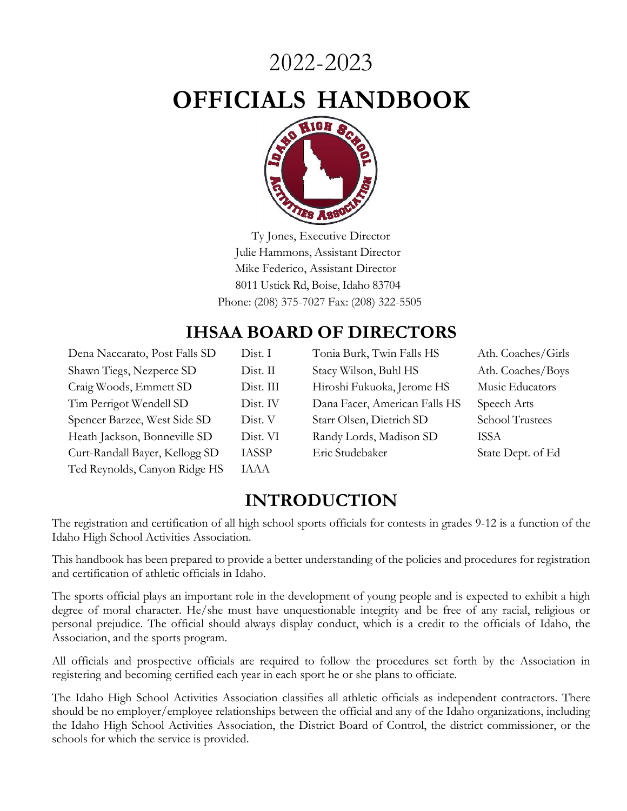# 2022-2023

# **OFFICIALS HANDBOOK**



Ty Jones, Executive Director Julie Hammons, Assistant Director Mike Federico, Assistant Director 8011 Ustick Rd, Boise, Idaho 83704 Phone: (208) 375-7027 Fax: (208) 322-5505

## **IHSAA BOARD OF DIRECTORS**

| Dena Naccarato, Post Falls SD  | Dist. 1      |
|--------------------------------|--------------|
| Shawn Tiegs, Nezperce SD       | Dist. 1      |
| Craig Woods, Emmett SD         | Dist. 1      |
| Tim Perrigot Wendell SD        | Dist. 1      |
| Spencer Barzee, West Side SD   | Dist.        |
| Heath Jackson, Bonneville SD   | Dist.        |
| Curt-Randall Bayer, Kellogg SD | <b>IASSF</b> |
| Ted Reynolds, Canyon Ridge HS  | <b>IAAA</b>  |

Dena Naccarato, Post Falls SD Dist. I Tonia Burk, Twin Falls HS Ath. Coaches/Girls st. II Stacy Wilson, Buhl HS Ath. Coaches/Boys Ist. III Hiroshi Fukuoka, Jerome HS Music Educators Ist. IV Dana Facer, American Falls HS Speech Arts Spencer Barrier Starr Olsen, Dietrich SD School Trustees ist. VI Randy Lords, Madison SD ISSA SSP Eric Studebaker State Dept. of Ed

## **INTRODUCTION**

The registration and certification of all high school sports officials for contests in grades 9-12 is a function of the Idaho High School Activities Association.

This handbook has been prepared to provide a better understanding of the policies and procedures for registration and certification of athletic officials in Idaho.

The sports official plays an important role in the development of young people and is expected to exhibit a high degree of moral character. He/she must have unquestionable integrity and be free of any racial, religious or personal prejudice. The official should always display conduct, which is a credit to the officials of Idaho, the Association, and the sports program.

All officials and prospective officials are required to follow the procedures set forth by the Association in registering and becoming certified each year in each sport he or she plans to officiate.

The Idaho High School Activities Association classifies all athletic officials as independent contractors. There should be no employer/employee relationships between the official and any of the Idaho organizations, including the Idaho High School Activities Association, the District Board of Control, the district commissioner, or the schools for which the service is provided.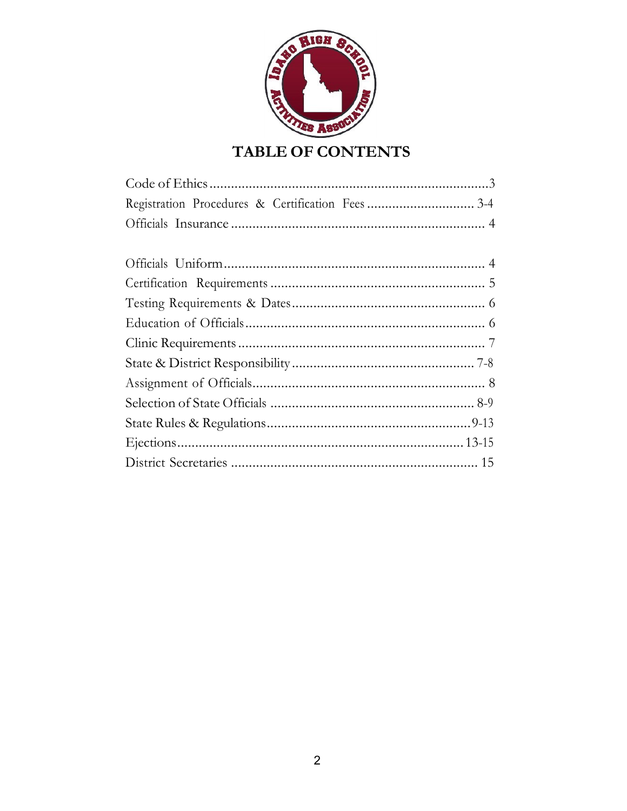

## TABLE OF CONTENTS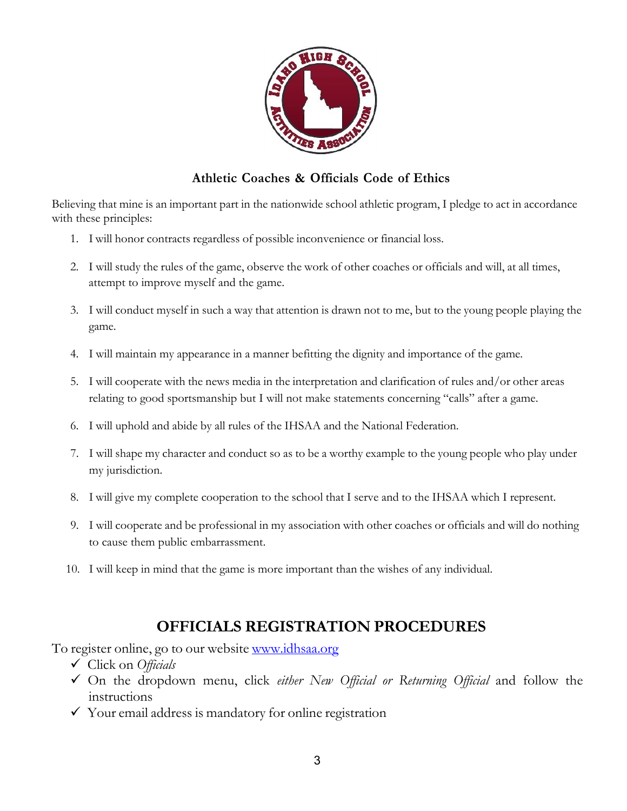

#### **Athletic Coaches & Officials Code of Ethics**

Believing that mine is an important part in the nationwide school athletic program, I pledge to act in accordance with these principles:

- 1. I will honor contracts regardless of possible inconvenience or financial loss.
- 2. I will study the rules of the game, observe the work of other coaches or officials and will, at all times, attempt to improve myself and the game.
- 3. I will conduct myself in such a way that attention is drawn not to me, but to the young people playing the game.
- 4. I will maintain my appearance in a manner befitting the dignity and importance of the game.
- 5. I will cooperate with the news media in the interpretation and clarification of rules and/or other areas relating to good sportsmanship but I will not make statements concerning "calls" after a game.
- 6. I will uphold and abide by all rules of the IHSAA and the National Federation.
- 7. I will shape my character and conduct so as to be a worthy example to the young people who play under my jurisdiction.
- 8. I will give my complete cooperation to the school that I serve and to the IHSAA which I represent.
- 9. I will cooperate and be professional in my association with other coaches or officials and will do nothing to cause them public embarrassment.
- 10. I will keep in mind that the game is more important than the wishes of any individual.

## **OFFICIALS REGISTRATION PROCEDURES**

To register online, go to our website www.idhsaa.org

- ü Click on *Officials*
- ü On the dropdown menu, click *either New Official or Returning Official* and follow the instructions
- $\checkmark$  Your email address is mandatory for online registration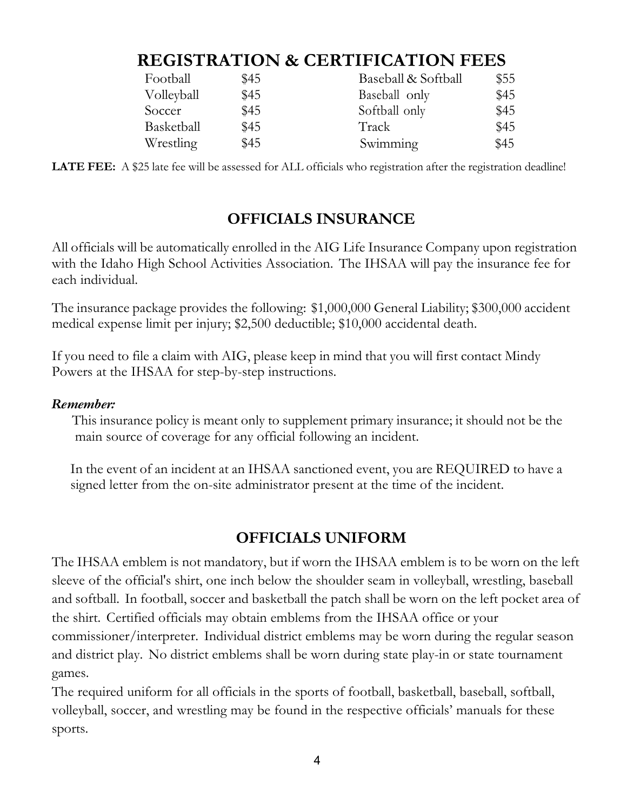## **REGISTRATION & CERTIFICATION FEES**

| Football   | \$45 | Baseball & Softball | \$55 |
|------------|------|---------------------|------|
| Volleyball | \$45 | Baseball only       | \$45 |
| Soccer     | \$45 | Softball only       | \$45 |
| Basketball | \$45 | Track               | \$45 |
| Wrestling  | \$45 | Swimming            | \$45 |

**LATE FEE:** A \$25 late fee will be assessed for ALL officials who registration after the registration deadline!

## **OFFICIALS INSURANCE**

All officials will be automatically enrolled in the AIG Life Insurance Company upon registration with the Idaho High School Activities Association. The IHSAA will pay the insurance fee for each individual.

The insurance package provides the following: \$1,000,000 General Liability; \$300,000 accident medical expense limit per injury; \$2,500 deductible; \$10,000 accidental death.

If you need to file a claim with AIG, please keep in mind that you will first contact Mindy Powers at the IHSAA for step-by-step instructions.

#### *Remember:*

This insurance policy is meant only to supplement primary insurance; it should not be the main source of coverage for any official following an incident.

In the event of an incident at an IHSAA sanctioned event, you are REQUIRED to have a signed letter from the on-site administrator present at the time of the incident.

## **OFFICIALS UNIFORM**

The IHSAA emblem is not mandatory, but if worn the IHSAA emblem is to be worn on the left sleeve of the official's shirt, one inch below the shoulder seam in volleyball, wrestling, baseball and softball. In football, soccer and basketball the patch shall be worn on the left pocket area of the shirt. Certified officials may obtain emblems from the IHSAA office or your commissioner/interpreter. Individual district emblems may be worn during the regular season and district play. No district emblems shall be worn during state play-in or state tournament games.

The required uniform for all officials in the sports of football, basketball, baseball, softball, volleyball, soccer, and wrestling may be found in the respective officials' manuals for these sports.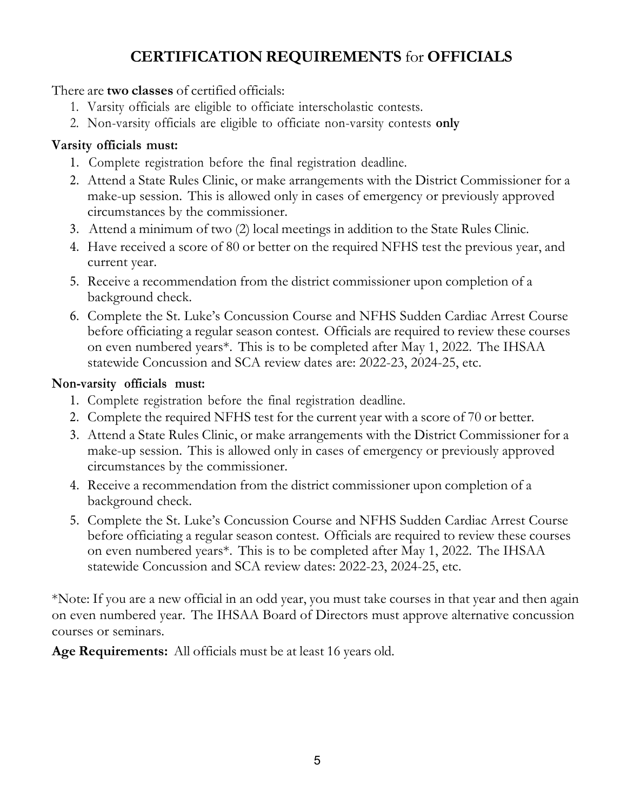## **CERTIFICATION REQUIREMENTS** for **OFFICIALS**

#### There are **two classes** of certified officials:

- 1. Varsity officials are eligible to officiate interscholastic contests.
- 2. Non-varsity officials are eligible to officiate non-varsity contests **only**

## **Varsity officials must:**

- 1. Complete registration before the final registration deadline.
- 2. Attend a State Rules Clinic, or make arrangements with the District Commissioner for a make-up session. This is allowed only in cases of emergency or previously approved circumstances by the commissioner.
- 3. Attend a minimum of two (2) local meetings in addition to the State Rules Clinic.
- 4. Have received a score of 80 or better on the required NFHS test the previous year, and current year.
- 5. Receive a recommendation from the district commissioner upon completion of a background check.
- 6. Complete the St. Luke's Concussion Course and NFHS Sudden Cardiac Arrest Course before officiating a regular season contest. Officials are required to review these courses on even numbered years\*. This is to be completed after May 1, 2022. The IHSAA statewide Concussion and SCA review dates are: 2022-23, 2024-25, etc.

## **Non-varsity officials must:**

- 1. Complete registration before the final registration deadline.
- 2. Complete the required NFHS test for the current year with a score of 70 or better.
- 3. Attend a State Rules Clinic, or make arrangements with the District Commissioner for a make-up session. This is allowed only in cases of emergency or previously approved circumstances by the commissioner.
- 4. Receive a recommendation from the district commissioner upon completion of a background check.
- 5. Complete the St. Luke's Concussion Course and NFHS Sudden Cardiac Arrest Course before officiating a regular season contest. Officials are required to review these courses on even numbered years\*. This is to be completed after May 1, 2022. The IHSAA statewide Concussion and SCA review dates: 2022-23, 2024-25, etc.

\*Note: If you are a new official in an odd year, you must take courses in that year and then again on even numbered year. The IHSAA Board of Directors must approve alternative concussion courses or seminars.

**Age Requirements:** All officials must be at least 16 years old.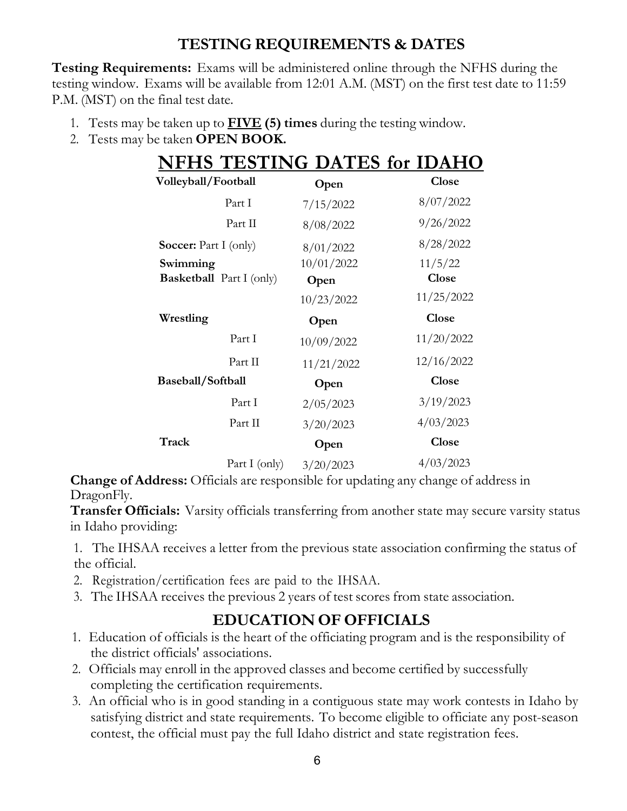## **TESTING REQUIREMENTS & DATES**

**Testing Requirements:** Exams will be administered online through the NFHS during the testing window. Exams will be available from 12:01 A.M. (MST) on the first test date to 11:59 P.M. (MST) on the final test date.

- 1. Tests may be taken up to **FIVE (5) times** during the testing window.
- 2. Tests may be taken **OPEN BOOK.**

| <b>NFHS TESTING DATES for IDAHO</b> |               |            |              |
|-------------------------------------|---------------|------------|--------------|
| Volleyball/Football                 |               | Open       | <b>Close</b> |
|                                     | Part I        | 7/15/2022  | 8/07/2022    |
|                                     | Part II       | 8/08/2022  | 9/26/2022    |
| <b>Soccer:</b> Part I (only)        |               | 8/01/2022  | 8/28/2022    |
| Swimming                            |               | 10/01/2022 | 11/5/22      |
| <b>Basketball</b> Part I (only)     |               | Open       | <b>Close</b> |
|                                     |               | 10/23/2022 | 11/25/2022   |
| Wrestling                           |               | Open       | <b>Close</b> |
|                                     | Part I        | 10/09/2022 | 11/20/2022   |
|                                     | Part II       | 11/21/2022 | 12/16/2022   |
| Baseball/Softball                   |               | Open       | <b>Close</b> |
|                                     | Part I        | 2/05/2023  | 3/19/2023    |
|                                     | Part II       | 3/20/2023  | 4/03/2023    |
| Track                               |               | Open       | <b>Close</b> |
|                                     | Part I (only) | 3/20/2023  | 4/03/2023    |

**Change of Address:** Officials are responsible for updating any change of address in DragonFly.

**Transfer Officials:** Varsity officials transferring from another state may secure varsity status in Idaho providing:

1. The IHSAA receives a letter from the previous state association confirming the status of the official.

- 2. Registration/certification fees are paid to the IHSAA.
- 3. The IHSAA receives the previous 2 years of test scores from state association.

## **EDUCATION OF OFFICIALS**

- 1. Education of officials is the heart of the officiating program and is the responsibility of the district officials' associations.
- 2. Officials may enroll in the approved classes and become certified by successfully completing the certification requirements.
- 3. An official who is in good standing in a contiguous state may work contests in Idaho by satisfying district and state requirements. To become eligible to officiate any post-season contest, the official must pay the full Idaho district and state registration fees.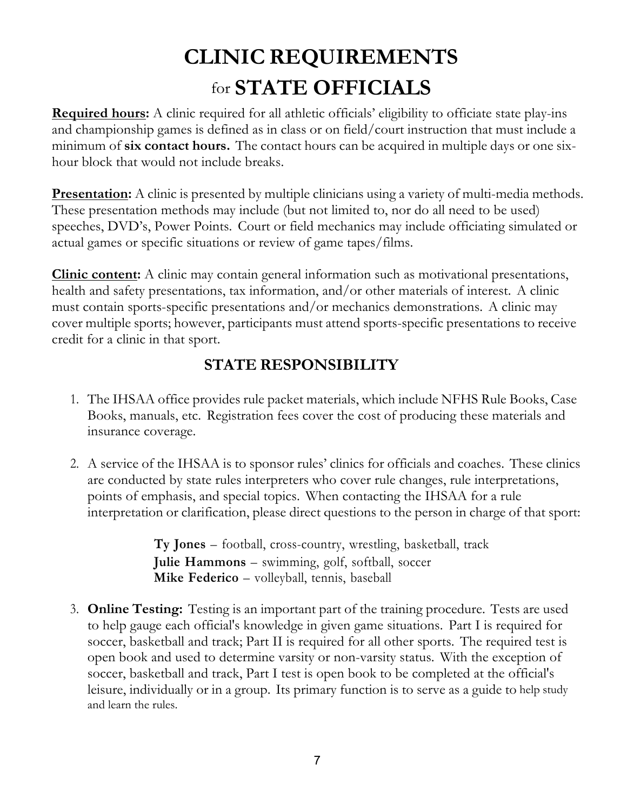# **CLINIC REQUIREMENTS** for **STATE OFFICIALS**

**Required hours:** A clinic required for all athletic officials' eligibility to officiate state play-ins and championship games is defined as in class or on field/court instruction that must include a minimum of **six contact hours.** The contact hours can be acquired in multiple days or one sixhour block that would not include breaks.

**Presentation:** A clinic is presented by multiple clinicians using a variety of multi-media methods. These presentation methods may include (but not limited to, nor do all need to be used) speeches, DVD's, Power Points. Court or field mechanics may include officiating simulated or actual games or specific situations or review of game tapes/films.

**Clinic content:** A clinic may contain general information such as motivational presentations, health and safety presentations, tax information, and/or other materials of interest. A clinic must contain sports-specific presentations and/or mechanics demonstrations. A clinic may cover multiple sports; however, participants must attend sports-specific presentations to receive credit for a clinic in that sport.

## **STATE RESPONSIBILITY**

- 1. The IHSAA office provides rule packet materials, which include NFHS Rule Books, Case Books, manuals, etc. Registration fees cover the cost of producing these materials and insurance coverage.
- 2. A service of the IHSAA is to sponsor rules' clinics for officials and coaches. These clinics are conducted by state rules interpreters who cover rule changes, rule interpretations, points of emphasis, and special topics. When contacting the IHSAA for a rule interpretation or clarification, please direct questions to the person in charge of that sport:

**Ty Jones** – football, cross-country, wrestling, basketball, track **Julie Hammons** – swimming, golf, softball, soccer **Mike Federico** – volleyball, tennis, baseball

3. **Online Testing:** Testing is an important part of the training procedure. Tests are used to help gauge each official's knowledge in given game situations. Part I is required for soccer, basketball and track; Part II is required for all other sports. The required test is open book and used to determine varsity or non-varsity status. With the exception of soccer, basketball and track, Part I test is open book to be completed at the official's leisure, individually or in a group. Its primary function is to serve as a guide to help study and learn the rules.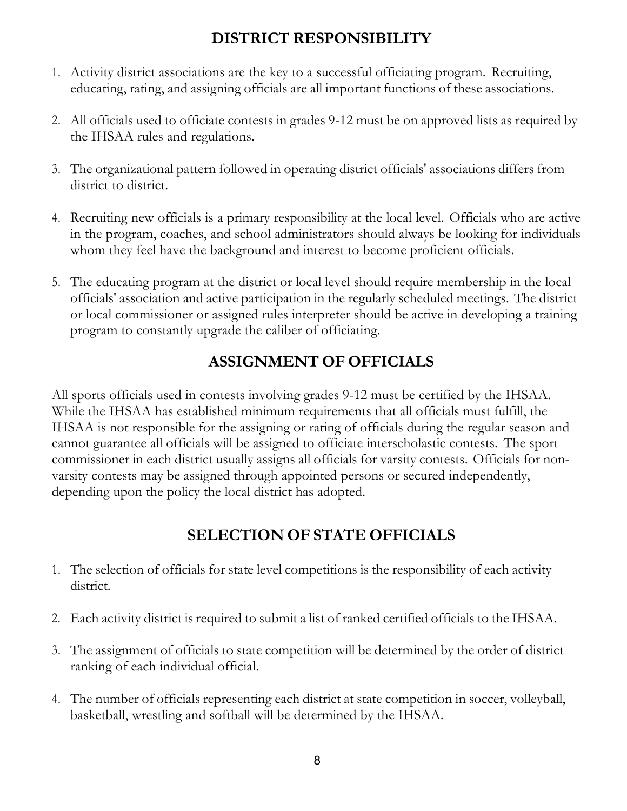## **DISTRICT RESPONSIBILITY**

- 1. Activity district associations are the key to a successful officiating program. Recruiting, educating, rating, and assigning officials are all important functions of these associations.
- 2. All officials used to officiate contests in grades 9-12 must be on approved lists as required by the IHSAA rules and regulations.
- 3. The organizational pattern followed in operating district officials' associations differs from district to district.
- 4. Recruiting new officials is a primary responsibility at the local level. Officials who are active in the program, coaches, and school administrators should always be looking for individuals whom they feel have the background and interest to become proficient officials.
- 5. The educating program at the district or local level should require membership in the local officials' association and active participation in the regularly scheduled meetings. The district or local commissioner or assigned rules interpreter should be active in developing a training program to constantly upgrade the caliber of officiating.

## **ASSIGNMENT OF OFFICIALS**

All sports officials used in contests involving grades 9-12 must be certified by the IHSAA. While the IHSAA has established minimum requirements that all officials must fulfill, the IHSAA is not responsible for the assigning or rating of officials during the regular season and cannot guarantee all officials will be assigned to officiate interscholastic contests. The sport commissioner in each district usually assigns all officials for varsity contests. Officials for nonvarsity contests may be assigned through appointed persons or secured independently, depending upon the policy the local district has adopted.

## **SELECTION OF STATE OFFICIALS**

- 1. The selection of officials for state level competitions is the responsibility of each activity district.
- 2. Each activity district is required to submit a list of ranked certified officials to the IHSAA.
- 3. The assignment of officials to state competition will be determined by the order of district ranking of each individual official.
- 4. The number of officials representing each district at state competition in soccer, volleyball, basketball, wrestling and softball will be determined by the IHSAA.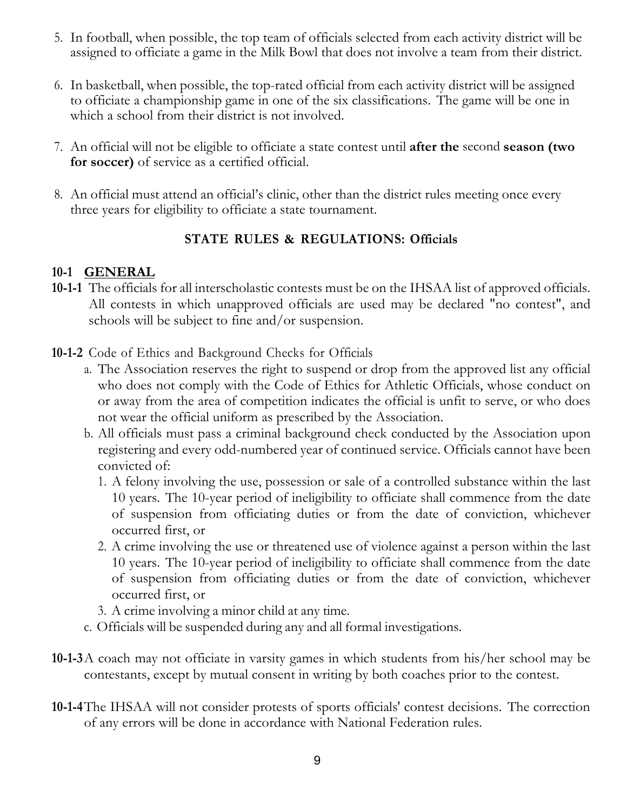- 5. In football, when possible, the top team of officials selected from each activity district will be assigned to officiate a game in the Milk Bowl that does not involve a team from their district.
- 6. In basketball, when possible, the top-rated official from each activity district will be assigned to officiate a championship game in one of the six classifications. The game will be one in which a school from their district is not involved.
- 7. An official will not be eligible to officiate a state contest until **after the** second **season (two for soccer)** of service as a certified official.
- 8. An official must attend an official's clinic, other than the district rules meeting once every three years for eligibility to officiate a state tournament.

## **STATE RULES & REGULATIONS: Officials**

#### **10-1 GENERAL**

- **10-1-1** The officials for all interscholastic contests must be on the IHSAA list of approved officials. All contests in which unapproved officials are used may be declared "no contest", and schools will be subject to fine and/or suspension.
- **10-1-2** Code of Ethics and Background Checks for Officials
	- a. The Association reserves the right to suspend or drop from the approved list any official who does not comply with the Code of Ethics for Athletic Officials, whose conduct on or away from the area of competition indicates the official is unfit to serve, or who does not wear the official uniform as prescribed by the Association.
	- b. All officials must pass a criminal background check conducted by the Association upon registering and every odd-numbered year of continued service. Officials cannot have been convicted of:
		- 1. A felony involving the use, possession or sale of a controlled substance within the last 10 years. The 10-year period of ineligibility to officiate shall commence from the date of suspension from officiating duties or from the date of conviction, whichever occurred first, or
		- 2. A crime involving the use or threatened use of violence against a person within the last 10 years. The 10-year period of ineligibility to officiate shall commence from the date of suspension from officiating duties or from the date of conviction, whichever occurred first, or
		- 3. A crime involving a minor child at any time.
	- c. Officials will be suspended during any and all formal investigations.
- **10-1-3**A coach may not officiate in varsity games in which students from his/her school may be contestants, except by mutual consent in writing by both coaches prior to the contest.
- **10-1-4**The IHSAA will not consider protests of sports officials' contest decisions. The correction of any errors will be done in accordance with National Federation rules.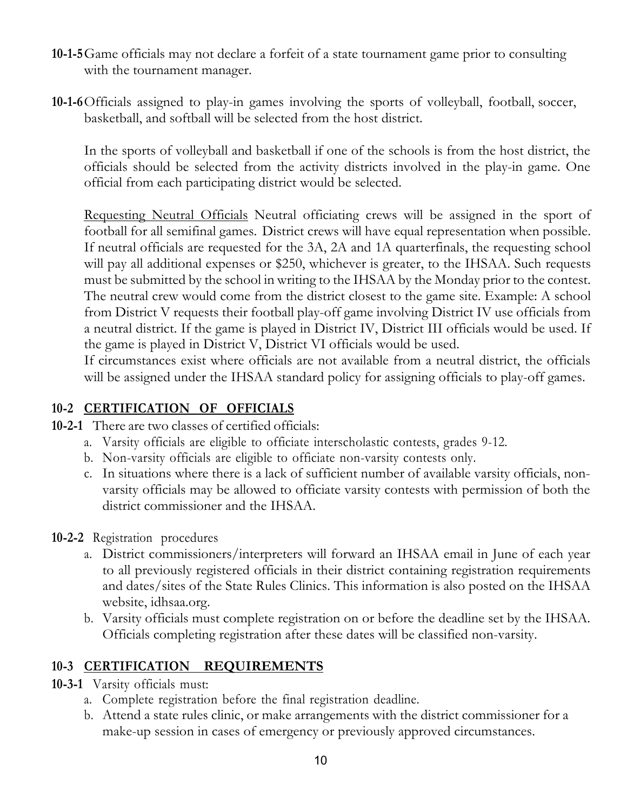- **10-1-5**Game officials may not declare a forfeit of a state tournament game prior to consulting with the tournament manager.
- **10-1-6**Officials assigned to play-in games involving the sports of volleyball, football, soccer, basketball, and softball will be selected from the host district.

In the sports of volleyball and basketball if one of the schools is from the host district, the officials should be selected from the activity districts involved in the play-in game. One official from each participating district would be selected.

Requesting Neutral Officials Neutral officiating crews will be assigned in the sport of football for all semifinal games. District crews will have equal representation when possible. If neutral officials are requested for the 3A, 2A and 1A quarterfinals, the requesting school will pay all additional expenses or \$250, whichever is greater, to the IHSAA. Such requests must be submitted by the school in writing to the IHSAA by the Monday prior to the contest. The neutral crew would come from the district closest to the game site. Example: A school from District V requests their football play-off game involving District IV use officials from a neutral district. If the game is played in District IV, District III officials would be used. If the game is played in District V, District VI officials would be used.

If circumstances exist where officials are not available from a neutral district, the officials will be assigned under the IHSAA standard policy for assigning officials to play-off games.

## **10-2 CERTIFICATION OF OFFICIALS**

- **10-2-1** There are two classes of certified officials:
	- a. Varsity officials are eligible to officiate interscholastic contests, grades 9-12.
	- b. Non-varsity officials are eligible to officiate non-varsity contests only.
	- c. In situations where there is a lack of sufficient number of available varsity officials, nonvarsity officials may be allowed to officiate varsity contests with permission of both the district commissioner and the IHSAA.
- **10-2-2** Registration procedures
	- a. District commissioners/interpreters will forward an IHSAA email in June of each year to all previously registered officials in their district containing registration requirements and dates/sites of the State Rules Clinics. This information is also posted on the IHSAA website, idhsaa.org.
	- b. Varsity officials must complete registration on or before the deadline set by the IHSAA. Officials completing registration after these dates will be classified non-varsity.

## **10-3 CERTIFICATION REQUIREMENTS**

- **10-3-1** Varsity officials must:
	- a. Complete registration before the final registration deadline.
	- b. Attend a state rules clinic, or make arrangements with the district commissioner for a make-up session in cases of emergency or previously approved circumstances.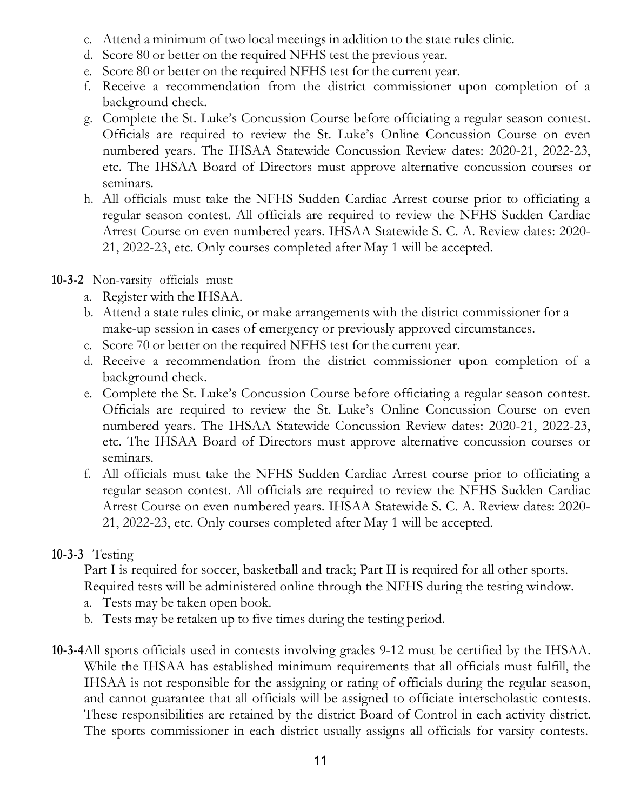- c. Attend a minimum of two local meetings in addition to the state rules clinic.
- d. Score 80 or better on the required NFHS test the previous year.
- e. Score 80 or better on the required NFHS test for the current year.
- f. Receive a recommendation from the district commissioner upon completion of a background check.
- g. Complete the St. Luke's Concussion Course before officiating a regular season contest. Officials are required to review the St. Luke's Online Concussion Course on even numbered years. The IHSAA Statewide Concussion Review dates: 2020-21, 2022-23, etc. The IHSAA Board of Directors must approve alternative concussion courses or seminars.
- h. All officials must take the NFHS Sudden Cardiac Arrest course prior to officiating a regular season contest. All officials are required to review the NFHS Sudden Cardiac Arrest Course on even numbered years. IHSAA Statewide S. C. A. Review dates: 2020- 21, 2022-23, etc. Only courses completed after May 1 will be accepted.
- **10-3-2** Non-varsity officials must:
	- a. Register with the IHSAA.
	- b. Attend a state rules clinic, or make arrangements with the district commissioner for a make-up session in cases of emergency or previously approved circumstances.
	- c. Score 70 or better on the required NFHS test for the current year.
	- d. Receive a recommendation from the district commissioner upon completion of a background check.
	- e. Complete the St. Luke's Concussion Course before officiating a regular season contest. Officials are required to review the St. Luke's Online Concussion Course on even numbered years. The IHSAA Statewide Concussion Review dates: 2020-21, 2022-23, etc. The IHSAA Board of Directors must approve alternative concussion courses or seminars.
	- f. All officials must take the NFHS Sudden Cardiac Arrest course prior to officiating a regular season contest. All officials are required to review the NFHS Sudden Cardiac Arrest Course on even numbered years. IHSAA Statewide S. C. A. Review dates: 2020- 21, 2022-23, etc. Only courses completed after May 1 will be accepted.

## **10-3-3** Testing

Part I is required for soccer, basketball and track; Part II is required for all other sports. Required tests will be administered online through the NFHS during the testing window.

- a. Tests may be taken open book.
- b. Tests may be retaken up to five times during the testing period.
- **10-3-4**All sports officials used in contests involving grades 9-12 must be certified by the IHSAA. While the IHSAA has established minimum requirements that all officials must fulfill, the IHSAA is not responsible for the assigning or rating of officials during the regular season, and cannot guarantee that all officials will be assigned to officiate interscholastic contests. These responsibilities are retained by the district Board of Control in each activity district. The sports commissioner in each district usually assigns all officials for varsity contests.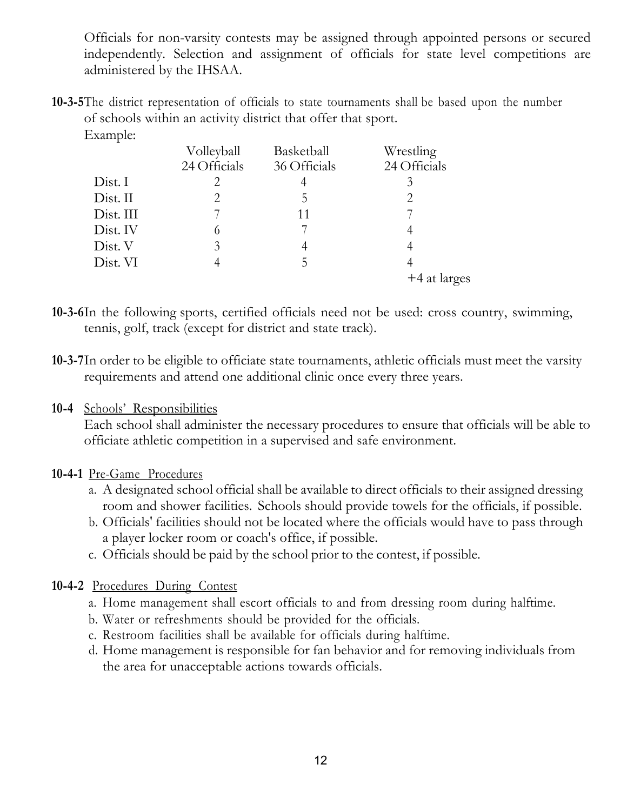Officials for non-varsity contests may be assigned through appointed persons or secured independently. Selection and assignment of officials for state level competitions are administered by the IHSAA.

**10-3-5**The district representation of officials to state tournaments shall be based upon the number of schools within an activity district that offer that sport. Example:

|           | Volleyball<br>24 Officials | Basketball<br>36 Officials | Wrestling<br>24 Officials |
|-----------|----------------------------|----------------------------|---------------------------|
| Dist. I   | 2                          | 4                          | 3                         |
| Dist. II  | 2                          | 5                          | 2                         |
| Dist. III | 7                          | 11                         |                           |
| Dist. IV  | 6                          |                            | 4                         |
| Dist. V   | 3                          | 4                          | 4                         |
| Dist. VI  |                            | 5                          | 4                         |
|           |                            |                            | +4 at larges              |

- **10-3-6**In the following sports, certified officials need not be used: cross country, swimming, tennis, golf, track (except for district and state track).
- **10-3-7**In order to be eligible to officiate state tournaments, athletic officials must meet the varsity requirements and attend one additional clinic once every three years.

#### **10-4** Schools' Responsibilities

Each school shall administer the necessary procedures to ensure that officials will be able to officiate athletic competition in a supervised and safe environment.

#### **10-4-1** Pre-Game Procedures

- a. A designated school official shall be available to direct officials to their assigned dressing room and shower facilities. Schools should provide towels for the officials, if possible.
- b. Officials' facilities should not be located where the officials would have to pass through a player locker room or coach's office, if possible.
- c. Officials should be paid by the school prior to the contest, if possible.

#### **10-4-2** Procedures During Contest

- a. Home management shall escort officials to and from dressing room during halftime.
- b. Water or refreshments should be provided for the officials.
- c. Restroom facilities shall be available for officials during halftime.
- d. Home management is responsible for fan behavior and for removing individuals from the area for unacceptable actions towards officials.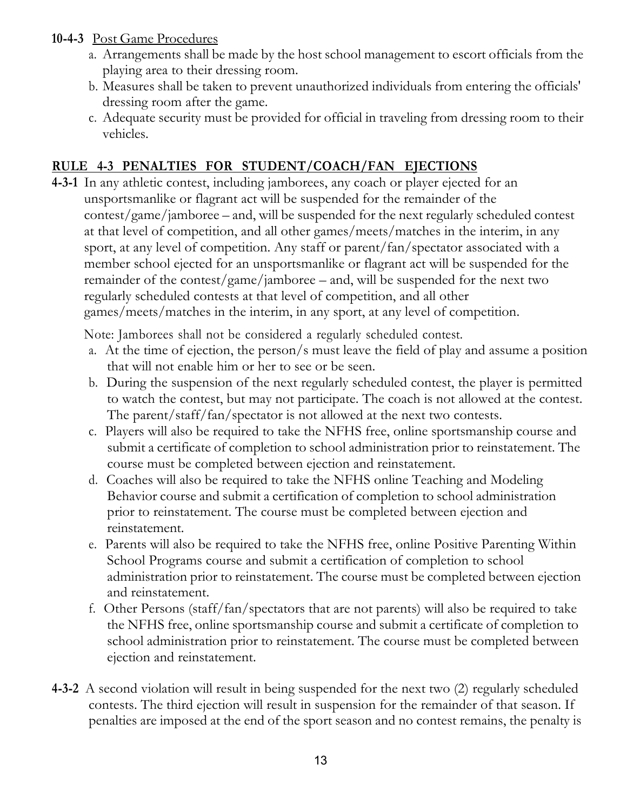#### **10-4-3** Post Game Procedures

- a. Arrangements shall be made by the host school management to escort officials from the playing area to their dressing room.
- b. Measures shall be taken to prevent unauthorized individuals from entering the officials' dressing room after the game.
- c. Adequate security must be provided for official in traveling from dressing room to their vehicles.

## **RULE 4-3 PENALTIES FOR STUDENT/COACH/FAN EJECTIONS**

**4-3-1** In any athletic contest, including jamborees, any coach or player ejected for an unsportsmanlike or flagrant act will be suspended for the remainder of the contest/game/jamboree – and, will be suspended for the next regularly scheduled contest at that level of competition, and all other games/meets/matches in the interim, in any sport, at any level of competition. Any staff or parent/fan/spectator associated with a member school ejected for an unsportsmanlike or flagrant act will be suspended for the remainder of the contest/game/jamboree – and, will be suspended for the next two regularly scheduled contests at that level of competition, and all other games/meets/matches in the interim, in any sport, at any level of competition.

Note: Jamborees shall not be considered a regularly scheduled contest.

- a. At the time of ejection, the person/s must leave the field of play and assume a position that will not enable him or her to see or be seen.
- b. During the suspension of the next regularly scheduled contest, the player is permitted to watch the contest, but may not participate. The coach is not allowed at the contest. The parent/staff/fan/spectator is not allowed at the next two contests.
- c. Players will also be required to take the NFHS free, online sportsmanship course and submit a certificate of completion to school administration prior to reinstatement. The course must be completed between ejection and reinstatement.
- d. Coaches will also be required to take the NFHS online Teaching and Modeling Behavior course and submit a certification of completion to school administration prior to reinstatement. The course must be completed between ejection and reinstatement.
- e. Parents will also be required to take the NFHS free, online Positive Parenting Within School Programs course and submit a certification of completion to school administration prior to reinstatement. The course must be completed between ejection and reinstatement.
- f. Other Persons (staff/fan/spectators that are not parents) will also be required to take the NFHS free, online sportsmanship course and submit a certificate of completion to school administration prior to reinstatement. The course must be completed between ejection and reinstatement.
- **4-3-2** A second violation will result in being suspended for the next two (2) regularly scheduled contests. The third ejection will result in suspension for the remainder of that season. If penalties are imposed at the end of the sport season and no contest remains, the penalty is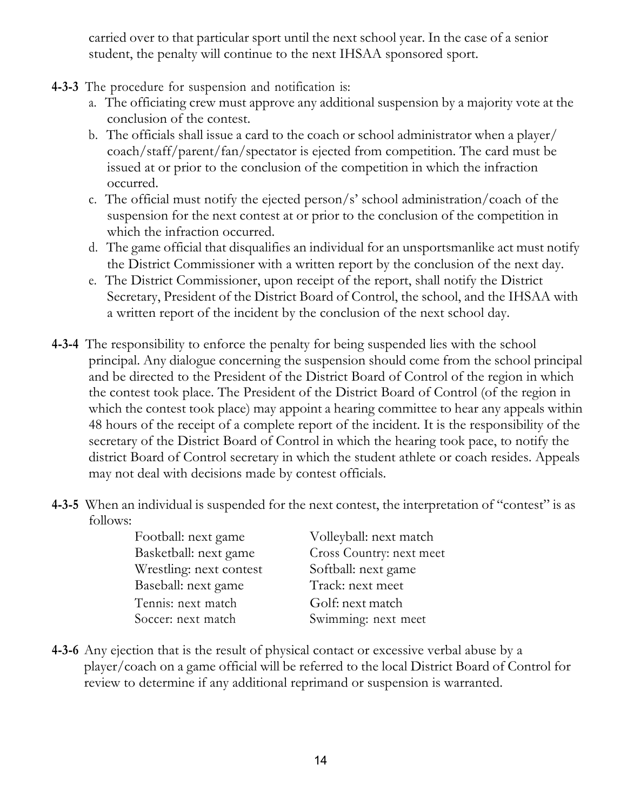carried over to that particular sport until the next school year. In the case of a senior student, the penalty will continue to the next IHSAA sponsored sport.

- **4-3-3** The procedure for suspension and notification is:
	- a. The officiating crew must approve any additional suspension by a majority vote at the conclusion of the contest.
	- b. The officials shall issue a card to the coach or school administrator when a player/ coach/staff/parent/fan/spectator is ejected from competition. The card must be issued at or prior to the conclusion of the competition in which the infraction occurred.
	- c. The official must notify the ejected person/s' school administration/coach of the suspension for the next contest at or prior to the conclusion of the competition in which the infraction occurred.
	- d. The game official that disqualifies an individual for an unsportsmanlike act must notify the District Commissioner with a written report by the conclusion of the next day.
	- e. The District Commissioner, upon receipt of the report, shall notify the District Secretary, President of the District Board of Control, the school, and the IHSAA with a written report of the incident by the conclusion of the next school day.
- **4-3-4** The responsibility to enforce the penalty for being suspended lies with the school principal. Any dialogue concerning the suspension should come from the school principal and be directed to the President of the District Board of Control of the region in which the contest took place. The President of the District Board of Control (of the region in which the contest took place) may appoint a hearing committee to hear any appeals within 48 hours of the receipt of a complete report of the incident. It is the responsibility of the secretary of the District Board of Control in which the hearing took pace, to notify the district Board of Control secretary in which the student athlete or coach resides. Appeals may not deal with decisions made by contest officials.
- **4-3-5** When an individual is suspended for the next contest, the interpretation of "contest" is as follows:

| Football: next game     | Volleyball: next match   |
|-------------------------|--------------------------|
| Basketball: next game   | Cross Country: next meet |
| Wrestling: next contest | Softball: next game      |
| Baseball: next game     | Track: next meet         |
| Tennis: next match      | Golf: next match         |
| Soccer: next match      | Swimming: next meet      |
|                         |                          |

**4-3-6** Any ejection that is the result of physical contact or excessive verbal abuse by a player/coach on a game official will be referred to the local District Board of Control for review to determine if any additional reprimand or suspension is warranted.